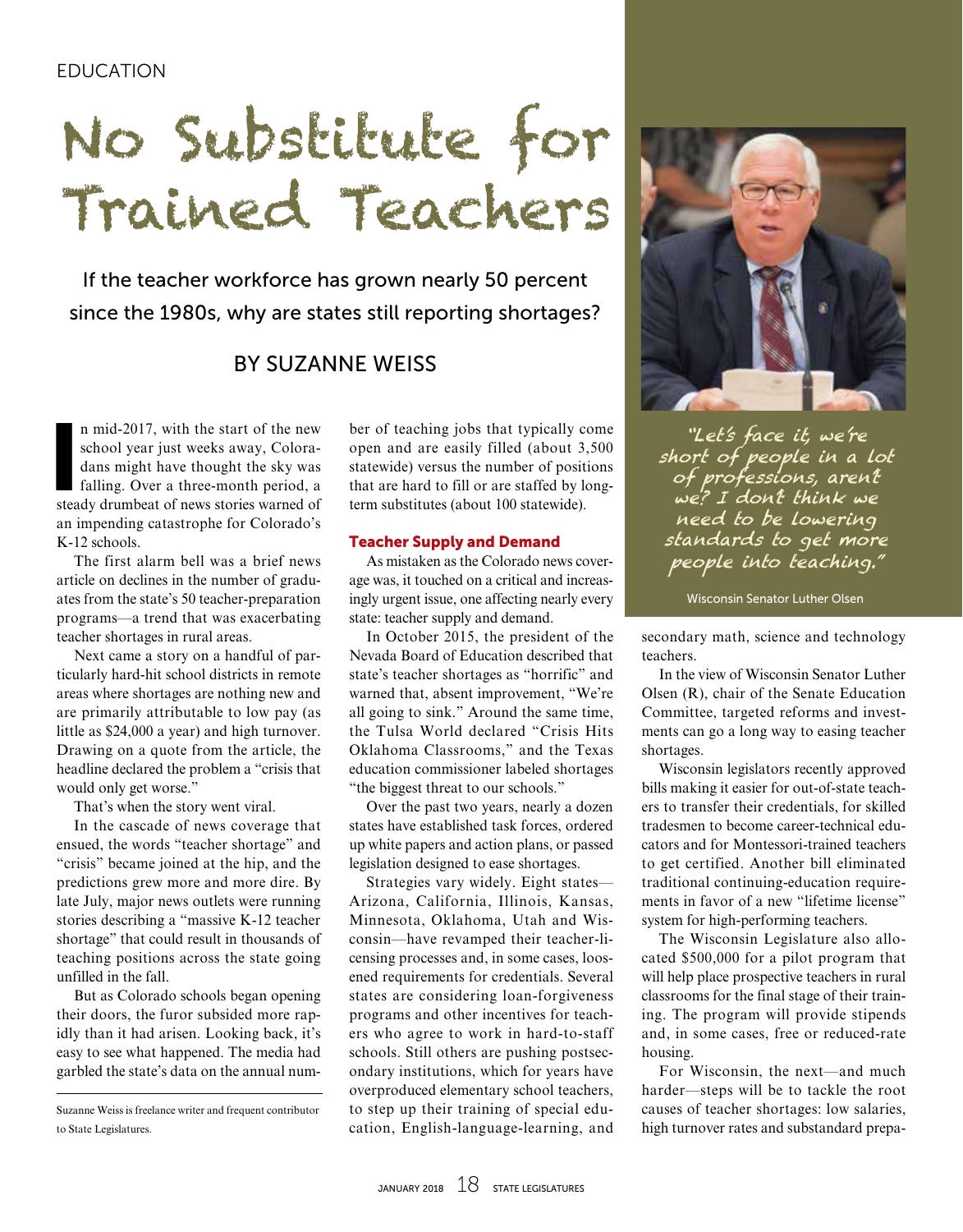## EDUCATION

# No Substitute for Trained Teachers

If the teacher workforce has grown nearly 50 percent since the 1980s, why are states still reporting shortages?

## BY SUZANNE WEISS

n mid-2017, with the start of the new<br>school year just weeks away, Colora-<br>dans might have thought the sky was<br>falling. Over a three-month period, a<br>steady drumbeat of news stories warned of n mid-2017, with the start of the new school year just weeks away, Coloradans might have thought the sky was falling. Over a three-month period, a an impending catastrophe for Colorado's K-12 schools.

The first alarm bell was a brief news article on declines in the number of graduates from the state's 50 teacher-preparation programs—a trend that was exacerbating teacher shortages in rural areas.

Next came a story on a handful of particularly hard-hit school districts in remote areas where shortages are nothing new and are primarily attributable to low pay (as little as \$24,000 a year) and high turnover. Drawing on a quote from the article, the headline declared the problem a "crisis that would only get worse."

That's when the story went viral.

In the cascade of news coverage that ensued, the words "teacher shortage" and "crisis" became joined at the hip, and the predictions grew more and more dire. By late July, major news outlets were running stories describing a "massive K-12 teacher shortage" that could result in thousands of teaching positions across the state going unfilled in the fall.

But as Colorado schools began opening their doors, the furor subsided more rapidly than it had arisen. Looking back, it's easy to see what happened. The media had garbled the state's data on the annual num-

ber of teaching jobs that typically come open and are easily filled (about 3,500 statewide) versus the number of positions that are hard to fill or are staffed by longterm substitutes (about 100 statewide).

#### Teacher Supply and Demand

As mistaken as the Colorado news coverage was, it touched on a critical and increasingly urgent issue, one affecting nearly every state: teacher supply and demand.

In October 2015, the president of the Nevada Board of Education described that state's teacher shortages as "horrific" and warned that, absent improvement, "We're all going to sink." Around the same time, the Tulsa World declared "Crisis Hits Oklahoma Classrooms," and the Texas education commissioner labeled shortages "the biggest threat to our schools."

Over the past two years, nearly a dozen states have established task forces, ordered up white papers and action plans, or passed legislation designed to ease shortages.

Strategies vary widely. Eight states— Arizona, California, Illinois, Kansas, Minnesota, Oklahoma, Utah and Wisconsin—have revamped their teacher-licensing processes and, in some cases, loosened requirements for credentials. Several states are considering loan-forgiveness programs and other incentives for teachers who agree to work in hard-to-staff schools. Still others are pushing postsecondary institutions, which for years have overproduced elementary school teachers, to step up their training of special education, English-language-learning, and



"Let's face it, we're short of people in a lot of professions, aren't we? I don't think we need to be lowering standards to get more people into teaching."

Wisconsin Senator Luther Olsen

secondary math, science and technology teachers.

In the view of Wisconsin Senator Luther Olsen (R), chair of the Senate Education Committee, targeted reforms and investments can go a long way to easing teacher shortages.

Wisconsin legislators recently approved bills making it easier for out-of-state teachers to transfer their credentials, for skilled tradesmen to become career-technical educators and for Montessori-trained teachers to get certified. Another bill eliminated traditional continuing-education requirements in favor of a new "lifetime license" system for high-performing teachers.

The Wisconsin Legislature also allocated \$500,000 for a pilot program that will help place prospective teachers in rural classrooms for the final stage of their training. The program will provide stipends and, in some cases, free or reduced-rate housing.

For Wisconsin, the next—and much harder—steps will be to tackle the root causes of teacher shortages: low salaries, high turnover rates and substandard prepa-

Suzanne Weiss is freelance writer and frequent contributor to State Legislatures.